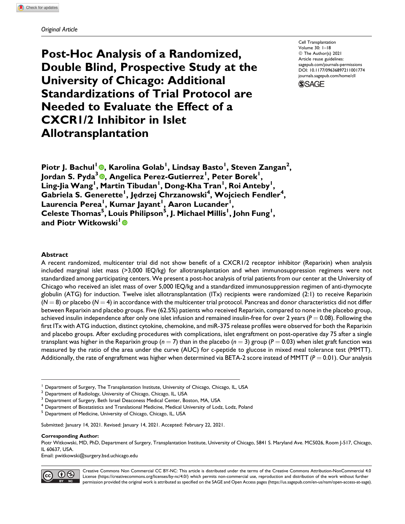**Post-Hoc Analysis of a Randomized, Double Blind, Prospective Study at the University of Chicago: Additional Standardizations of Trial Protocol are Needed to Evaluate the Effect of a CXCR1/2 Inhibitor in Islet Allotransplantation**

Cell Transplantation Volume 30: 1–18 © The Author(s) 2021 Article reuse guidelines: [sagepub.com/journals-permissions](https://sagepub.com/journals-permissions) [DOI: 10.1177/09636897211001774](https://doi.org/10.1177/09636897211001774) [journals.sagepub.com/home/cll](http://journals.sagepub.com/home/cll) **SSAGE** 

**Piotr J. Bachul<sup>1</sup> [,](https://orcid.org/0000-0002-7694-1793) Karolina Golab1 , Lindsay Basto<sup>1</sup> , Steven Zangan<sup>2</sup> , Jordan S. Pyda<sup>3</sup> [,](https://orcid.org/0000-0002-2833-3953) Angelica Perez-Gutierrez<sup>1</sup> , Peter Borek1 , Ling-Jia Wang<sup>1</sup> , Martin Tibudan<sup>1</sup> , Dong-Kha Tran<sup>1</sup> , Roi Anteby<sup>1</sup> ,** Gabriela S. Generette<sup>1</sup>, Jędrzej Chrzanowski<sup>4</sup>, Wojciech Fendler<sup>4</sup>, **Laurencia Perea<sup>1</sup> , Kumar Jayant<sup>1</sup> , Aaron Lucander<sup>1</sup> , Celeste Thomas<sup>5</sup> , Louis Philipson<sup>5</sup> , J. Michael Millis<sup>1</sup> , John Fung<sup>1</sup> , and Piotr Witkowski<sup>1</sup>**

### **Abstract**

A recent randomized, multicenter trial did not show benefit of a CXCR1/2 receptor inhibitor (Reparixin) when analysis included marginal islet mass (>3,000 IEQ/kg) for allotransplantation and when immunosuppression regimens were not standardized among participating centers. We present a post-hoc analysis of trial patients from our center at the University of Chicago who received an islet mass of over 5,000 IEQ/kg and a standardized immunosuppression regimen of anti-thymocyte globulin (ATG) for induction. Twelve islet allotransplantation (ITx) recipients were randomized (2:1) to receive Reparixin  $(N = 8)$  or placebo ( $N = 4$ ) in accordance with the multicenter trial protocol. Pancreas and donor characteristics did not differ between Reparixin and placebo groups. Five (62.5%) patients who received Reparixin, compared to none in the placebo group, achieved insulin independence after only one islet infusion and remained insulin-free for over 2 years ( $P = 0.08$ ). Following the first ITx with ATG induction, distinct cytokine, chemokine, and miR-375 release profiles were observed for both the Reparixin and placebo groups. After excluding procedures with complications, islet engraftment on post-operative day 75 after a single transplant was higher in the Reparixin group ( $n = 7$ ) than in the placebo ( $n = 3$ ) group ( $P = 0.03$ ) when islet graft function was measured by the ratio of the area under the curve (AUC) for c-peptide to glucose in mixed meal tolerance test (MMTT). Additionally, the rate of engraftment was higher when determined via BETA-2 score instead of MMTT ( $P = 0.01$ ). Our analysis

<sup>4</sup> Department of Biostatistics and Translational Medicine, Medical University of Lodz, Lodz, Poland

<sup>5</sup> Department of Medicine, University of Chicago, Chicago, IL, USA

Submitted: January 14, 2021. Revised: January 14, 2021. Accepted: February 22, 2021.

**Corresponding Author:**

Email: [pwitkowski@surgery.bsd.uchicago.edu](mailto:pwitkowski@surgery.bsd.uchicago.edu)



Creative Commons Non Commercial CC BY-NC: This article is distributed under the terms of the Creative Commons Attribution-NonCommercial 4.0 License [\(https://creativecommons.org/licenses/by-nc/4.0/](https://creativecommons.org/licenses/by-nc/4.0/)) which permits non-commercial use, reproduction and distribution of the work without further permission provided the original work is attributed as specified on the SAGE and Open Access pages ([https://us.sagepub.com/en-us/nam/open-access-at-sage\)](https://us.sagepub.com/en-us/nam/open-access-at-sage).

<sup>1</sup> Department of Surgery, The Transplantation Institute, University of Chicago, Chicago, IL, USA

<sup>2</sup> Department of Radiology, University of Chicago, Chicago, IL, USA

<sup>&</sup>lt;sup>3</sup> Department of Surgery, Beth Israel Deaconess Medical Center, Boston, MA, USA

Piotr Witkowski, MD, PhD, Department of Surgery, Transplantation Institute, University of Chicago, 5841 S. Maryland Ave. MC5026, Room J-517, Chicago, IL 60637, USA.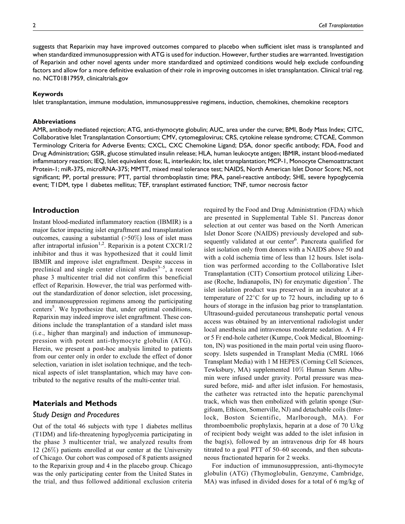suggests that Reparixin may have improved outcomes compared to placebo when sufficient islet mass is transplanted and when standardized immunosuppression with ATG is used for induction. However, further studies are warranted. Investigation of Reparixin and other novel agents under more standardized and optimized conditions would help exclude confounding factors and allow for a more definitive evaluation of their role in improving outcomes in islet transplantation. Clinical trial reg. no. NCT01817959, [clinicaltrials.gov](http://clinicaltrials.gov)

#### **Keywords**

Islet transplantation, immune modulation, immunosuppressive regimens, induction, chemokines, chemokine receptors

#### **Abbreviations**

AMR, antibody mediated rejection; ATG, anti-thymocyte globulin; AUC, area under the curve; BMI, Body Mass Index; CITC, Collaborative Islet Transplantation Consortium; CMV, cytomegalovirus; CRS, cytokine release syndrome; CTCAE, Common Terminology Criteria for Adverse Events; CXCL, CXC Chemokine Ligand; DSA, donor specific antibody; FDA, Food and Drug Administration; GSIR, glucose stimulated insulin release; HLA, human leukocyte antigen; IBMIR, instant blood-mediated inflammatory reaction; IEQ, Islet equivalent dose; IL, interleukin; Itx, islet transplantation; MCP-1, Monocyte Chemoattractant Protein-1; miR-375, microRNA-375; MMTT, mixed meal tolerance test; NAIDS, North American Islet Donor Score; NS, not significant; PP, portal pressure; PTT, partial thromboplastin time; PRA, panel-reactive antibody; SHE, severe hypoglycemia event; T1DM, type 1 diabetes mellitus; TEF, transplant estimated function; TNF, tumor necrosis factor

### **Introduction**

Instant blood-mediated inflammatory reaction (IBMIR) is a major factor impacting islet engraftment and transplantation outcomes, causing a substantial  $(>50\%)$  loss of islet mass after intraportal infusion<sup>1,2</sup>. Reparixin is a potent CXCR1/2 inhibitor and thus it was hypothesized that it could limit IBMIR and improve islet engraftment. Despite success in preclinical and single center clinical studies<sup>3–5</sup>, a recent phase 3 multicenter trial did not confirm this beneficial effect of Reparixin. However, the trial was performed without the standardization of donor selection, islet processing, and immunosuppression regimens among the participating centers<sup>5</sup>. We hypothesize that, under optimal conditions, Reparixin may indeed improve islet engraftment. These conditions include the transplantation of a standard islet mass (i.e., higher than marginal) and induction of immunosuppression with potent anti-thymocyte globulin (ATG). Herein, we present a post-hoc analysis limited to patients from our center only in order to exclude the effect of donor selection, variation in islet isolation technique, and the technical aspects of islet transplantation, which may have contributed to the negative results of the multi-center trial.

### **Materials and Methods**

### *Study Design and Procedures*

Out of the total 46 subjects with type 1 diabetes mellitus (T1DM) and life-threatening hypoglycemia participating in the phase 3 multicenter trial, we analyzed results from 12 (26%) patients enrolled at our center at the University of Chicago. Our cohort was composed of 8 patients assigned to the Reparixin group and 4 in the placebo group. Chicago was the only participating center from the United States in the trial, and thus followed additional exclusion criteria required by the Food and Drug Administration (FDA) which are presented in Supplemental Table S1. Pancreas donor selection at out center was based on the North American Islet Donor Score (NAIDS) previously developed and subsequently validated at our center<sup>6</sup>. Pancreata qualified for islet isolation only from donors with a NAIDS above 50 and with a cold ischemia time of less than 12 hours. Islet isolation was performed according to the Collaborative Islet Transplantation (CIT) Consortium protocol utilizing Liberase (Roche, Indianapolis, IN) for enzymatic digestion<sup>7</sup>. The islet isolation product was preserved in an incubator at a temperature of  $22^{\circ}$ C for up to 72 hours, including up to 6 hours of storage in the infusion bag prior to transplantation. Ultrasound-guided percutaneous transhepatic portal venous access was obtained by an interventional radiologist under local anesthesia and intravenous moderate sedation. A 4 Fr or 5 Fr end-hole catheter (Kumpe, Cook Medical, Bloomington, IN) was positioned in the main portal vein using fluoroscopy. Islets suspended in Transplant Media (CMRL 1066 Transplant Media) with 1 M HEPES (Corning Cell Sciences, Tewksbury, MA) supplemented 10% Human Serum Albumin were infused under gravity. Portal pressure was measured before, mid- and after islet infusion. For hemostasis, the catheter was retracted into the hepatic parenchymal track, which was then embolized with gelatin sponge (Surgifoam, Ethicon, Somerville, NJ) and detachable coils (Interlock, Boston Scientific, Marlborough, MA). For thromboembolic prophylaxis, heparin at a dose of 70 U/kg of recipient body weight was added to the islet infusion in the bag(s), followed by an intravenous drip for 48 hours titrated to a goal PTT of 50–60 seconds, and then subcutaneous fractionated heparin for 2 weeks.

For induction of immunosuppression, anti-thymocyte globulin (ATG) (Thymoglobulin, Genzyme, Cambridge, MA) was infused in divided doses for a total of 6 mg/kg of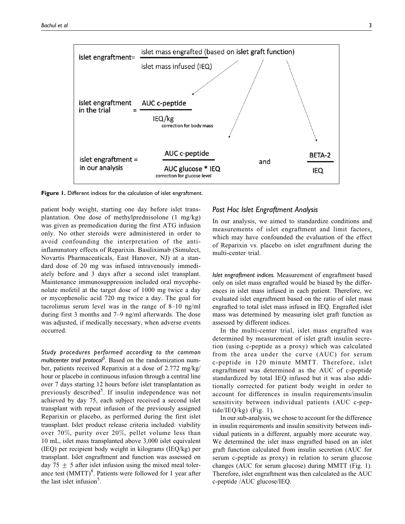

**Figure 1.** Different indices for the calculation of islet engraftment.

patient body weight, starting one day before islet transplantation. One dose of methylprednisolone (1 mg/kg) was given as premedication during the first ATG infusion only. No other steroids were administered in order to avoid confounding the interpretation of the antiinflammatory effects of Reparixin. Basiliximab (Simulect, Novartis Pharmaceuticals, East Hanover, NJ) at a standard dose of 20 mg was infused intravenously immediately before and 3 days after a second islet transplant. Maintenance immunosuppression included oral mycophenolate mofetil at the target dose of 1000 mg twice a day or mycophenolic acid 720 mg twice a day. The goal for tacrolimus serum level was in the range of 8–10 ng/ml during first 3 months and 7–9 ng/ml afterwards. The dose was adjusted, if medically necessary, when adverse events occurred.

*Study procedures performed according to the common multicenter trial protocol<sup>5</sup> .* Based on the randomization number, patients received Reparixin at a dose of 2.772 mg/kg/ hour or placebo in continuous infusion through a central line over 7 days starting 12 hours before islet transplantation as previously described<sup>5</sup>. If insulin independence was not achieved by day 75, each subject received a second islet transplant with repeat infusion of the previously assigned Reparixin or placebo, as performed during the first islet transplant. Islet product release criteria included: viability over 70%, purity over 20%, pellet volume less than 10 mL, islet mass transplanted above 3,000 islet equivalent (IEQ) per recipient body weight in kilograms (IEQ/kg) per transplant. Islet engraftment and function was assessed on day 75  $\pm$  5 after islet infusion using the mixed meal tolerance test (MMTT)<sup>8</sup>. Patients were followed for 1 year after the last islet infusion<sup>5</sup>.

### *Post Hoc Islet Engraftment Analysis*

In our analysis, we aimed to standardize conditions and measurements of islet engraftment and limit factors, which may have confounded the evaluation of the effect of Reparixin vs. placebo on islet engraftment during the multi-center trial.

*Islet engraftment indices.* Measurement of engraftment based only on islet mass engrafted would be biased by the differences in islet mass infused in each patient. Therefore, we evaluated islet engraftment based on the ratio of islet mass engrafted to total islet mass infused in IEQ. Engrafted islet mass was determined by measuring islet graft function as assessed by different indices.

In the multi-center trial, islet mass engrafted was determined by measurement of islet graft insulin secretion (using c-peptide as a proxy) which was calculated from the area under the curve (AUC) for serum c-peptide in 120 minute MMTT. Therefore, islet engraftment was determined as the AUC of c-peptide standardized by total IEQ infused but it was also additionally corrected for patient body weight in order to account for differences in insulin requirements/insulin sensitivity between individual patients (AUC c-peptide/IEQ/kg) (Fig. 1).

In our sub-analysis, we chose to account for the difference in insulin requirements and insulin sensitivity between individual patients in a different, arguably more accurate way. We determined the islet mass engrafted based on an islet graft function calculated from insulin secretion (AUC for serum c-peptide as proxy) in relation to serum glucose changes (AUC for serum glucose) during MMTT (Fig. 1). Therefore, islet engraftment was then calculated as the AUC c-peptide /AUC glucose/IEQ.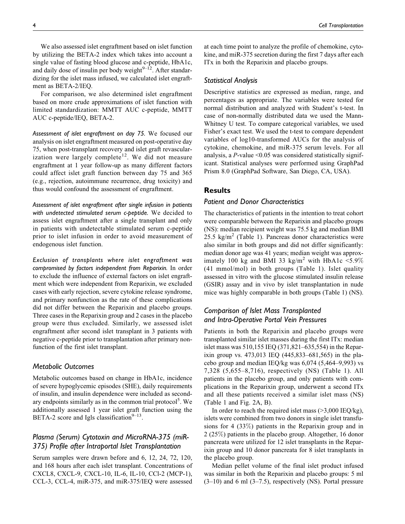We also assessed islet engraftment based on islet function by utilizing the BETA-2 index which takes into account a single value of fasting blood glucose and c-peptide, HbA1c, and daily dose of insulin per body weight $9-12$ . After standardizing for the islet mass infused, we calculated islet engraftment as BETA-2/IEQ.

For comparison, we also determined islet engraftment based on more crude approximations of islet function with limited standardization: MMTT AUC c-peptide, MMTT AUC c-peptide/IEQ, BETA-2.

*Assessment of islet engraftment on day 75.* We focused our analysis on islet engraftment measured on post-operative day 75, when post-transplant recovery and islet graft revascularization were largely complete<sup>12</sup>. We did not measure engraftment at 1 year follow-up as many different factors could affect islet graft function between day 75 and 365 (e.g., rejection, autoimmune recurrence, drug toxicity) and thus would confound the assessment of engraftment.

*Assessment of islet engraftment after single infusion in patients with undetected stimulated serum c-peptide.* We decided to assess islet engraftment after a single transplant and only in patients with undetectable stimulated serum c-peptide prior to islet infusion in order to avoid measurement of endogenous islet function.

*Exclusion of transplants where islet engraftment was compromised by factors independent from Reparixin.* In order to exclude the influence of external factors on islet engraftment which were independent from Reparixin, we excluded cases with early rejection, severe cytokine release syndrome, and primary nonfunction as the rate of these complications did not differ between the Reparixin and placebo groups. Three cases in the Reparixin group and 2 cases in the placebo group were thus excluded. Similarly, we assessed islet engraftment after second islet transplant in 3 patients with negative c-peptide prior to transplantation after primary nonfunction of the first islet transplant.

#### *Metabolic Outcomes*

Metabolic outcomes based on change in HbA1c, incidence of severe hypoglycemic episodes (SHE), daily requirements of insulin, and insulin dependence were included as secondary endpoints similarly as in the common trial protocol<sup>5</sup>. We additionally assessed 1 year islet graft function using the BETA-2 score and Igls classification $9-13$ .

# *Plasma (Serum) Cytotoxin and MicroRNA-375 (miR-375) Profile after Intraportal Islet Transplantation*

Serum samples were drawn before and 6, 12, 24, 72, 120, and 168 hours after each islet transplant. Concentrations of CXCL8, CXCL-9, CXCL-10, IL-6, IL-10, CCl-2 (MCP-1), CCL-3, CCL-4, miR-375, and miR-375/IEQ were assessed

at each time point to analyze the profile of chemokine, cytokine, and miR-375 secretion during the first 7 days after each ITx in both the Reparixin and placebo groups.

### *Statistical Analysis*

Descriptive statistics are expressed as median, range, and percentages as appropriate. The variables were tested for normal distribution and analyzed with Student's t-test. In case of non-normally distributed data we used the Mann-Whitney U test. To compare categorical variables, we used Fisher's exact test. We used the t-test to compare dependent variables of log10-transformed AUCs for the analysis of cytokine, chemokine, and miR-375 serum levels. For all analysis, a  $P$ -value <0.05 was considered statistically significant. Statistical analyses were performed using GraphPad Prism 8.0 (GraphPad Software, San Diego, CA, USA).

### **Results**

### *Patient and Donor Characteristics*

The characteristics of patients in the intention to treat cohort were comparable between the Reparixin and placebo groups (NS): median recipient weight was 75.5 kg and median BMI 25.5 kg/m<sup>2</sup> (Table 1). Pancreas donor characteristics were also similar in both groups and did not differ significantly: median donor age was 41 years; median weight was approximately 100 kg and BMI 33 kg/m<sup>2</sup> with HbA1c <5.9% (41 mmol/mol) in both groups (Table 1). Islet quality assessed in vitro with the glucose stimulated insulin release (GSIR) assay and in vivo by islet transplantation in nude mice was highly comparable in both groups (Table 1) (NS).

# *Comparison of Islet Mass Transplanted and Intra-Operative Portal Vein Pressures*

Patients in both the Reparixin and placebo groups were transplanted similar islet masses during the first ITx: median islet mass was 510,155 IEQ (371,821–635,554) in the Reparixin group vs. 473,013 IEQ (445,833–681,565) in the placebo group and median IEQ/kg was 6,074 (5,464–9,993) vs 7,328 (5,655–8,716), respectively (NS) (Table 1). All patients in the placebo group, and only patients with complications in the Reparixin group, underwent a second ITx and all these patients received a similar islet mass (NS) (Table 1 and Fig. 2A, B).

In order to reach the required islet mass  $(>3,000 \text{ IEQ/kg})$ , islets were combined from two donors in single islet transfusions for 4 (33%) patients in the Reparixin group and in 2 (25%) patients in the placebo group. Altogether, 16 donor pancreata were utilized for 12 islet transplants in the Reparixin group and 10 donor pancreata for 8 islet transplants in the placebo group.

Median pellet volume of the final islet product infused was similar in both the Reparixin and placebo groups: 5 ml  $(3-10)$  and 6 ml  $(3-7.5)$ , respectively (NS). Portal pressure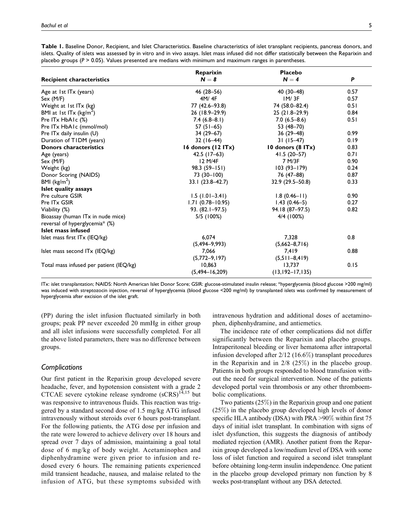|                                         | Reparixin            | <b>Placebo</b>      |      |
|-----------------------------------------|----------------------|---------------------|------|
| <b>Recipient characteristics</b>        | $N = 8$              | $N = 4$             | P    |
| Age at 1st ITx (years)                  | 46 (28-56)           | 40 (30-48)          | 0.57 |
| Sex (M/F)                               | 4M/4F                | IM/3F               | 0.57 |
| Weight at 1st ITx (kg)                  | 77 (42.6-93.8)       | 74 (58.0-82.4)      | 0.51 |
| BMI at 1st ITx ( $\text{kg/m}^2$ )      | 26 (18.9-29.9)       | $25(21.8-29.9)$     | 0.84 |
| Pre ITx HbAIc (%)                       | $7.4(6.8-8.1)$       | $7.0(6.5-8.6)$      | 0.51 |
| Pre ITx HbA1c (mmol/mol)                | 57 $(51-65)$         | 53 (48-70)          |      |
| Pre ITx daily insulin (U)               | $34(29-67)$          | 36 (29–48)          | 0.99 |
| Duration of TIDM (years)                | $32(16-44)$          | $31(15-47)$         | 0.19 |
| <b>Donors characteristics</b>           | 16 donors $(12 ITx)$ | 10 donors $(8$ ITx) | 0.83 |
| Age (years)                             | $42.5$ (17-63)       | $41.5(20-57)$       | 0.71 |
| Sex (M/F)                               | 12 M/4F              | 7 M/3F              | 0.90 |
| Weight (kg)                             | $98.3(59 - 151)$     | $103(93 - 179)$     | 0.24 |
| Donor Scoring (NAIDS)                   | 73 (30–100)          | 76 (47–88)          | 0.87 |
| BMI ( $\text{kg/m}^2$ )                 | $33.1(23.8-42.7)$    | $32.9(29.5 - 50.8)$ | 0.33 |
| Islet quality assays                    |                      |                     |      |
| Pre culture GSIR                        | $1.5(1.01-3.41)$     | $1.8(0.46 - 11)$    | 0.90 |
| Pre ITx GSIR                            | $1.71(0.78 - 10.95)$ | $1.43(0.46-5)$      | 0.27 |
| Viability (%)                           | 93. (82.1–97.5)      | 94.18 (87-97.5)     | 0.82 |
| Bioassay (human ITx in nude mice)       | 5/5 (100%)           | 4/4 (100%)          |      |
| reversal of hyperglycemia* (%)          |                      |                     |      |
| Islet mass infused                      |                      |                     |      |
| Islet mass first ITx (IEQ/kg)           | 6,074                | 7,328               | 0.8  |
|                                         | $(5,494-9,993)$      | $(5,662 - 8,716)$   |      |
| Islet mass second ITx (IEQ/kg)          | 7,066                | 7,419               | 0.88 |
|                                         | $(5,772-9,197)$      | $(5,511-8,419)$     |      |
| Total mass infused per patient (IEQ/kg) | 10.863               | 13.737              | 0.15 |
|                                         | $(5,494 - 16,209)$   | $(13,192 - 17,135)$ |      |

**Table 1.** Baseline Donor, Recipient, and Islet Characteristics. Baseline characteristics of islet transplant recipients, pancreas donors, and islets. Quality of islets was assessed by in vitro and in vivo assays. Islet mass infused did not differ statistically between the Reparixin and placebo groups (*P* > 0.05). Values presented are medians with minimum and maximum ranges in parentheses.

ITx: islet transplantation; NAIDS: North American Islet Donor Score; GSIR: glucose-stimulated insulin release; \*hyperglycemia (blood glucose >200 mg/ml) was induced with streptozocin injection, reversal of hyperglycemia (blood glucose <200 mg/ml) by transplanted islets was confirmed by measurement of hyperglycemia after excision of the islet graft.

(PP) during the islet infusion fluctuated similarly in both groups; peak PP never exceeded 20 mmHg in either group and all islet infusions were successfully completed. For all the above listed parameters, there was no difference between groups.

# *Complications*

Our first patient in the Reparixin group developed severe headache, fever, and hypotension consistent with a grade 2 CTCAE severe cytokine release syndrome  $(sCRS)^{14,15}$  but was responsive to intravenous fluids. This reaction was triggered by a standard second dose of 1.5 mg/kg ATG infused intravenously without steroids over 6 hours post-transplant. For the following patients, the ATG dose per infusion and the rate were lowered to achieve delivery over 18 hours and spread over 7 days of admission, maintaining a goal total dose of 6 mg/kg of body weight. Acetaminophen and diphenhydramine were given prior to infusion and redosed every 6 hours. The remaining patients experienced mild transient headache, nausea, and malaise related to the infusion of ATG, but these symptoms subsided with

intravenous hydration and additional doses of acetaminophen, diphenhydramine, and antiemetics.

The incidence rate of other complications did not differ significantly between the Reparixin and placebo groups. Intraperitoneal bleeding or liver hematoma after intraportal infusion developed after 2/12 (16.6%) transplant procedures in the Reparixin and in 2/8 (25%) in the placebo group. Patients in both groups responded to blood transfusion without the need for surgical intervention. None of the patients developed portal vein thrombosis or any other thromboembolic complications.

Two patients (25%) in the Reparixin group and one patient (25%) in the placebo group developed high levels of donor specific HLA antibody (DSA) with PRA >90% within first 75 days of initial islet transplant. In combination with signs of islet dysfunction, this suggests the diagnosis of antibody mediated rejection (AMR). Another patient from the Reparixin group developed a low/medium level of DSA with some loss of islet function and required a second islet transplant before obtaining long-term insulin independence. One patient in the placebo group developed primary non function by 8 weeks post-transplant without any DSA detected.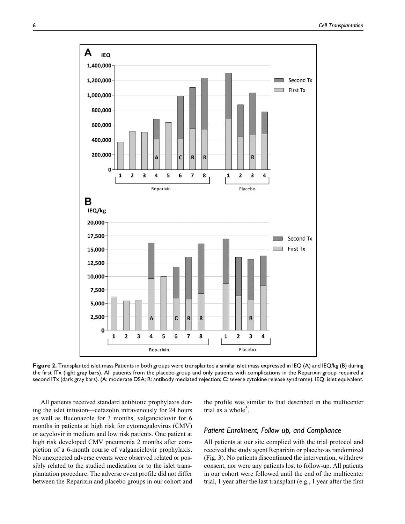

**Figure 2.** Transplanted islet mass Patients in both groups were transplanted a similar islet mass expressed in IEQ (A) and IEQ/kg (B) during the first ITx (light gray bars). All patients from the placebo group and only patients with complications in the Reparixin group required a second ITx (dark gray bars). (A: moderate DSA; R: antibody mediated rejection; C: severe cytokine release syndrome). IEQ: islet equivalent.

All patients received standard antibiotic prophylaxis during the islet infusion—cefazolin intravenously for 24 hours as well as fluconazole for 3 months, valganciclovir for 6 months in patients at high risk for cytomegalovirus (CMV) or acyclovir in medium and low risk patients. One patient at high risk developed CMV pneumonia 2 months after completion of a 6-month course of valganciclovir prophylaxis. No unexpected adverse events were observed related or possibly related to the studied medication or to the islet transplantation procedure. The adverse event profile did not differ between the Reparixin and placebo groups in our cohort and the profile was similar to that described in the multicenter trial as a whole<sup>5</sup>.

### *Patient Enrolment, Follow up, and Compliance*

All patients at our site complied with the trial protocol and received the study agent Reparixin or placebo as randomized (Fig. 3). No patients discontinued the intervention, withdrew consent, nor were any patients lost to follow-up. All patients in our cohort were followed until the end of the multicenter trial, 1 year after the last transplant (e.g., 1 year after the first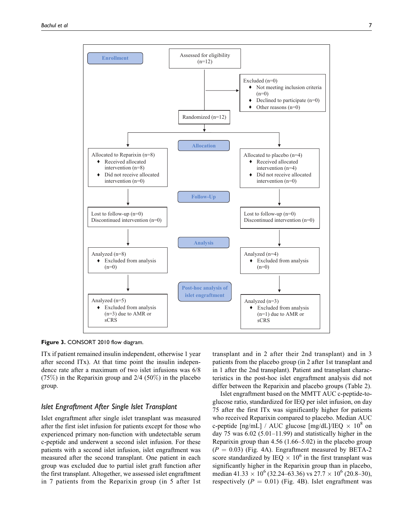

Figure 3. CONSORT 2010 flow diagram.

ITx if patient remained insulin independent, otherwise 1 year after second ITx). At that time point the insulin independence rate after a maximum of two islet infusions was 6/8 (75%) in the Reparixin group and 2/4 (50%) in the placebo group.

### *Islet Engraftment After Single Islet Transplant*

Islet engraftment after single islet transplant was measured after the first islet infusion for patients except for those who experienced primary non-function with undetectable serum c-peptide and underwent a second islet infusion. For these patients with a second islet infusion, islet engraftment was measured after the second transplant. One patient in each group was excluded due to partial islet graft function after the first transplant. Altogether, we assessed islet engraftment in 7 patients from the Reparixin group (in 5 after 1st

transplant and in 2 after their 2nd transplant) and in 3 patients from the placebo group (in 2 after 1st transplant and in 1 after the 2nd transplant). Patient and transplant characteristics in the post-hoc islet engraftment analysis did not differ between the Reparixin and placebo groups (Table 2).

Islet engraftment based on the MMTT AUC c-peptide-toglucose ratio, standardized for IEQ per islet infusion, on day 75 after the first ITx was significantly higher for patients who received Reparixin compared to placebo. Median AUC c-peptide [ng/mL] / AUC glucose [mg/dL]/IEQ  $\times$  10<sup>8</sup> on day 75 was  $6.02$  (5.01–11.99) and statistically higher in the Reparixin group than 4.56 (1.66–5.02) in the placebo group  $(P = 0.03)$  (Fig. 4A). Engraftment measured by BETA-2 score standardized by IEQ  $\times$  10<sup>6</sup> in the first transplant was significantly higher in the Reparixin group than in placebo, median  $41.33 \times 10^{6}$  (32.24–63.36) vs  $27.7 \times 10^{6}$  (20.8–30), respectively ( $P = 0.01$ ) (Fig. 4B). Islet engraftment was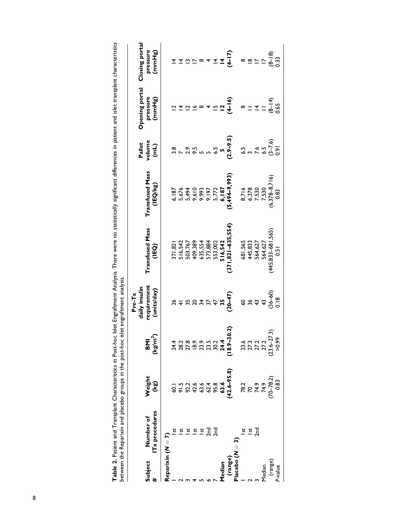| )<br>)<br>)<br>ne in patient an<br>j<br>ミコンニス<br>i                                                                             |                                                                                                                                   |  |
|--------------------------------------------------------------------------------------------------------------------------------|-----------------------------------------------------------------------------------------------------------------------------------|--|
| ive aim ifican et di<br>֚֚֕֕֝<br>and no ctationially.<br>alysis. There were no statis?<br>I<br>rmant Ana<br>oc Islet Engi<br>Ş | ֧֧֧֧֧֧֛֧֧֧֧֧֧֧֧֧֧֧֧֧֛֧֧֧֛֞֟֓֓֝֬֝֓֝֬֝֬֝֓֝֬֝֓֝֬֝֬֝֬֝֓֝֬֝֓֝֬֝֬֝֓֝֬֝֓֓֝֬֓֝֬֝֬֝֬֝֬֝֬֝֬֝֬֝֬֝֬֝֬֝֬֝֬֝֬֝֬֝֬<br>$rac{1}{2}$<br>)<br>)<br>! |  |
| Table 2. Patient and Transplant Characteristics in Pc                                                                          | between the Keparixin and placebo groups in the pos<br>;<br>}<br>}<br>)<br>2020<br>11                                             |  |

|                            | Subject Number of<br># ITx procedures | Weight<br>(kg)                                               | $\frac{\mathsf{BM}}{(\mathsf{kg}/\mathsf{m}^2)}$                                                                | Pre-Tx<br>daily insulin<br>requirement<br>(units/day)                    | Transfused Mass<br>(IEQ)                                                             | Transfused Mass<br>(IEQ/kg)                                                 | Pallet<br>volume<br>(mL)                        | Opening portal<br>pressure<br>(mmHg)                        | Closing portal<br>pressure<br>(mmHg)            |
|----------------------------|---------------------------------------|--------------------------------------------------------------|-----------------------------------------------------------------------------------------------------------------|--------------------------------------------------------------------------|--------------------------------------------------------------------------------------|-----------------------------------------------------------------------------|-------------------------------------------------|-------------------------------------------------------------|-------------------------------------------------|
| Reparixin ( $N = 7$ )      |                                       |                                                              |                                                                                                                 |                                                                          |                                                                                      |                                                                             |                                                 |                                                             |                                                 |
|                            |                                       |                                                              |                                                                                                                 |                                                                          |                                                                                      |                                                                             |                                                 |                                                             |                                                 |
|                            |                                       |                                                              |                                                                                                                 | $rac{6}{4}$                                                              |                                                                                      |                                                                             |                                                 |                                                             |                                                 |
|                            |                                       |                                                              |                                                                                                                 |                                                                          |                                                                                      |                                                                             |                                                 |                                                             |                                                 |
|                            | <u>ដ</u>                              |                                                              |                                                                                                                 |                                                                          |                                                                                      |                                                                             |                                                 |                                                             |                                                 |
|                            | <u>ដ</u>                              |                                                              |                                                                                                                 |                                                                          |                                                                                      |                                                                             |                                                 |                                                             |                                                 |
|                            |                                       |                                                              |                                                                                                                 |                                                                          |                                                                                      |                                                                             |                                                 |                                                             |                                                 |
|                            | 로 로                                   |                                                              |                                                                                                                 |                                                                          |                                                                                      |                                                                             |                                                 |                                                             |                                                 |
| Median                     |                                       |                                                              |                                                                                                                 |                                                                          |                                                                                      |                                                                             |                                                 |                                                             |                                                 |
|                            |                                       | 60.1<br>91.5<br>92.2<br>42.6<br>63.8<br>63.6<br>63.6<br>63.6 | $74.3$<br>$74.3$<br>$74.3$<br>$74.4$<br>$74.4$<br>$74.4$<br>$74.4$<br>$74.4$<br>$74.4$<br>$74.5$<br>$18.9-30.2$ | $\frac{56}{34}$<br>$\frac{27}{47}$<br>$\frac{27}{47}$<br>$\frac{27}{47}$ | 371,821<br>516,542<br>503,767<br>409,389<br>409,554<br>516,542<br>516,542<br>516,542 | 6, 187<br>5,676<br>5,494<br>5,494<br>6, 187<br>6,494–9,993)<br>6,494–9,993) | 3.8<br>7 2.9<br><b>5 9 - 9.5</b><br>2.9 - 9.5 ) | $4524$<br>$459$                                             | $477$<br>$477$                                  |
| (range)<br>Placebo $(M=3)$ |                                       |                                                              |                                                                                                                 |                                                                          |                                                                                      |                                                                             |                                                 |                                                             |                                                 |
|                            |                                       |                                                              |                                                                                                                 |                                                                          |                                                                                      |                                                                             |                                                 |                                                             |                                                 |
|                            | <u>ដ</u>                              |                                                              |                                                                                                                 |                                                                          |                                                                                      |                                                                             |                                                 |                                                             |                                                 |
|                            | 2n                                    |                                                              |                                                                                                                 |                                                                          |                                                                                      |                                                                             |                                                 |                                                             |                                                 |
| <b>Median</b>              |                                       |                                                              |                                                                                                                 |                                                                          |                                                                                      |                                                                             |                                                 |                                                             |                                                 |
|                            |                                       | 78.2<br>70<br>74.9<br>70–78.2)<br>0.83                       | 23.6<br>27.3<br>27.2<br>27.2<br>20.6–27.3)<br>>0.99<br>>0.99                                                    | $60$<br>$36$<br>$43$<br>$36$<br>$0.8$<br>$0.8$                           |                                                                                      | 8,716<br>6,378<br>7,530<br>7,530<br>(6,378–8,716)<br>(830                   | 5<br>5 1 3 9 9 9 9<br>5 9 9 9 9 9 9             | $= 4$<br>$= 4$<br>$= 4$<br>$= 4$<br>$= 4$<br>$= 4$<br>$= 4$ | $\frac{18}{15} = \frac{18}{15} = \frac{18}{15}$ |
| (range)<br>P-value         |                                       |                                                              |                                                                                                                 |                                                                          | 681,565<br>445,833<br>564,627<br>564,627<br>(445,833–681,565)<br>0.51                |                                                                             |                                                 |                                                             |                                                 |
|                            |                                       |                                                              |                                                                                                                 |                                                                          |                                                                                      |                                                                             |                                                 |                                                             |                                                 |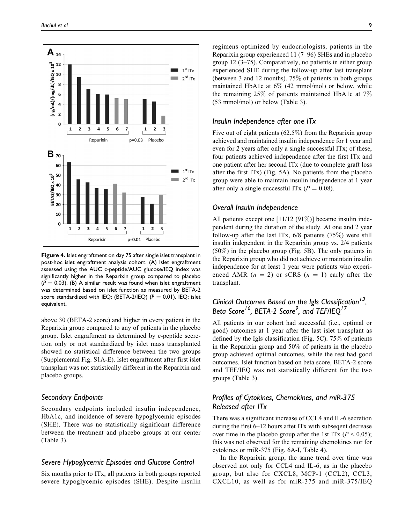

**Figure 4.** Islet engraftment on day 75 after single islet transplant in post-hoc islet engraftment analysis cohort. (A) Islet engraftment assessed using the AUC c-peptide/AUC glucose/IEQ index was significantly higher in the Reparixin group compared to placebo  $(P = 0.03)$ . (B) A similar result was found when islet engraftment was determined based on islet function as measured by BETA-2 score standardized with IEQ: (BETA-2/IEQ)  $(P = 0.01)$ . IEQ: islet equivalent.

above 30 (BETA-2 score) and higher in every patient in the Reparixin group compared to any of patients in the placebo group. Islet engraftment as determined by c-peptide secretion only or not standardized by islet mass transplanted showed no statistical difference between the two groups (Supplemental Fig. S1A-E). Islet engraftment after first islet transplant was not statistically different in the Reparixin and placebo groups.

### *Secondary Endpoints*

Secondary endpoints included insulin independence, HbA1c, and incidence of severe hypoglycemic episodes (SHE). There was no statistically significant difference between the treatment and placebo groups at our center (Table 3).

### *Severe Hypoglycemic Episodes and Glucose Control*

Six months prior to ITx, all patients in both groups reported severe hypoglycemic episodes (SHE). Despite insulin regimens optimized by endocriologists, patients in the Reparixin group experienced 11 (7–96) SHEs and in placebo group 12 (3–75). Comparatively, no patients in either group experienced SHE during the follow-up after last transplant (between 3 and 12 months). 75% of patients in both groups maintained HbA1c at 6% (42 mmol/mol) or below, while the remaining 25% of patients maintained HbA1c at 7% (53 mmol/mol) or below (Table 3).

### *Insulin Independence after one ITx*

Five out of eight patients (62.5%) from the Reparixin group achieved and maintained insulin independence for 1 year and even for 2 years after only a single successful ITx; of these, four patients achieved independence after the first ITx and one patient after her second ITx (due to complete graft loss after the first ITx) (Fig. 5A). No patients from the placebo group were able to maintain insulin independence at 1 year after only a single successful ITx ( $P = 0.08$ ).

### *Overall Insulin Independence*

All patients except one [11/12 (91%)] became insulin independent during the duration of the study. At one and 2 year follow-up after the last ITx,  $6/8$  patients  $(75%)$  were still insulin independent in the Reparixin group vs. 2/4 patients (50%) in the placebo group (Fig. 5B). The only patients in the Reparixin group who did not achieve or maintain insulin independence for at least 1 year were patients who experienced AMR  $(n = 2)$  or sCRS  $(n = 1)$  early after the transplant.

# *Clinical Outcomes Based on the Igls Classification13, Beta Score16, BETA-2 Score9 , and TEF/IEQ<sup>17</sup>*

All patients in our cohort had successful (i.e., optimal or good) outcomes at 1 year after the last islet transplant as defined by the Igls classification (Fig. 5C). 75% of patients in the Reparixin group and 50% of patients in the placebo group achieved optimal outcomes, while the rest had good outcomes. Islet function based on beta score, BETA-2 score and TEF/IEQ was not statistically different for the two groups (Table 3).

# *Profiles of Cytokines, Chemokines, and miR-375 Released after ITx*

There was a significant increase of CCL4 and IL-6 secretion during the first 6–12 hours aftet ITx with subseqent decrease over time in the placebo group after the 1st ITx ( $P < 0.05$ ); this was not observed for the remaining chemokines nor for cytokines or miR-375 (Fig. 6A-I, Table 4).

In the Reparixin group, the same trend over time was observed not only for CCL4 and IL-6, as in the placebo group, but also for CXCL8, MCP-1 (CCL2), CCL3, CXCL10, as well as for miR-375 and miR-375/IEQ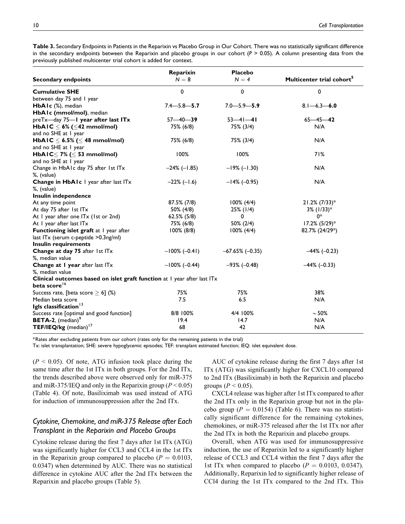**Table 3.** Secondary Endpoints in Patients in the Reparixin vs Placebo Group in Our Cohort. There was no statistically significant difference in the secondary endpoints between the Reparixin and placebo groups in our cohort (*P* > 0.05). A column presenting data from the previously published multicenter trial cohort is added for context.

| <b>Secondary endpoints</b>                                               | Reparixin<br>$N = 8$ | Placebo<br>$N = 4$     | Multicenter trial cohort <sup>5</sup> |  |  |  |
|--------------------------------------------------------------------------|----------------------|------------------------|---------------------------------------|--|--|--|
| <b>Cumulative SHE</b>                                                    | $\mathbf 0$          | 0                      | 0                                     |  |  |  |
| between day 75 and I year                                                |                      |                        |                                       |  |  |  |
| HbAIc (%), median                                                        | $7.4 - 5.8 - 5.7$    | $7.0 - 5.9 - 5.9$      | $8.1 - 6.3 - 6.0$                     |  |  |  |
| HbAIc (mmol/mol), median                                                 |                      |                        |                                       |  |  |  |
| preTx-day 75-I year after last ITx                                       | $57 - 40 - 39$       | $53 - 41 - 41$         | $65 - 45 - 42$                        |  |  |  |
| HbAIC $\leq$ 6% ( $\leq$ 42 mmol/mol)                                    | 75% (6/8)            | 75% (3/4)              | N/A                                   |  |  |  |
| and no SHE at I year                                                     |                      |                        |                                       |  |  |  |
| HbAIC $\leq$ 6.5% ( $\leq$ 48 mmol/mol)                                  | 75% (6/8)            | 75% (3/4)              | N/A                                   |  |  |  |
| and no SHE at 1 year                                                     | 100%                 | 100%                   | 71%                                   |  |  |  |
| HbAIC $\leq$ 7% ( $\leq$ 53 mmol/mol)<br>and no SHE at I year            |                      |                        |                                       |  |  |  |
| Change in HbA1c day 75 after 1st ITx<br>%, (value)                       | $-24\%$ (-1.85)      | $-19\%$ (-1.30)        | N/A                                   |  |  |  |
| Change in HbAIc I year after last ITx                                    | $-22\% (-1.6)$       | $-14\%$ (-0.95)        | N/A                                   |  |  |  |
| %, (value)                                                               |                      |                        |                                       |  |  |  |
| Insulin independence                                                     |                      |                        |                                       |  |  |  |
| At any time point                                                        | 87.5% (7/8)          | $100\%$ (4/4)          | $21.2\%$ (7/33) <sup>*</sup>          |  |  |  |
| At day 75 after 1st ITx                                                  | 50% (4/8)            | 25% (1/4)              | $3\%$ (1/33) <sup>*</sup>             |  |  |  |
| At I year after one ITx (1st or 2nd)                                     | 62.5% (5/8)          | 0                      | 0*                                    |  |  |  |
| At I year after last ITx                                                 | 75% (6/8)            | 50% (2/4)              | $17.2\%$ (5/29) <sup>*</sup>          |  |  |  |
| Functioning islet graft at I year after                                  | $100\%$ (8/8)        | $100\% (4/4)$          | 82.7% (24/29*)                        |  |  |  |
| last ITx (serum c-peptide >0.3ng/ml)                                     |                      |                        |                                       |  |  |  |
| <b>Insulin requirements</b>                                              |                      |                        |                                       |  |  |  |
| Change at day 75 after 1st ITx<br>%, median value                        | $-100\%$ (-0.41)     | $-67.65\%$ ( $-0.35$ ) | $-44\%$ (-0.23)                       |  |  |  |
| Change at I year after last ITx                                          | $-100\%$ (-0.44)     | $-93\% (-0.48)$        | $-44\%$ (-0.33)                       |  |  |  |
| %, median value                                                          |                      |                        |                                       |  |  |  |
| Clinical outcomes based on islet graft function at I year after last ITx |                      |                        |                                       |  |  |  |
| beta score <sup>16</sup>                                                 |                      |                        |                                       |  |  |  |
| Success rate, [beta score $\geq$ 6] (%)                                  | 75%                  | 75%                    | 38%                                   |  |  |  |
| Median beta score                                                        | 7.5                  | 6.5                    | N/A                                   |  |  |  |
| Igls classification <sup>13</sup>                                        |                      |                        |                                       |  |  |  |
| Success rate [optimal and good function]                                 | 8/8 100%             | 4/4 100%               | $\sim$ 50%                            |  |  |  |
| <b>BETA-2,</b> (median) <sup>9</sup>                                     | 19.4                 | 14.7                   | N/A                                   |  |  |  |
| TEF/IEQ/kg (median) <sup>17</sup>                                        | 68                   | 42                     | N/A                                   |  |  |  |

\*Rates after excluding patients from our cohort (rates only for the remaining patients in the trial)

Tx: islet transplantation; SHE: severe hypoglycemic episodes; TEF: transplant estimated function; IEQ: islet equivalent dose.

 $(P < 0.05)$ . Of note, ATG infusion took place during the same time after the 1st ITx in both groups. For the 2nd ITx, the trends described above were observed only for miR-375 and miR-375/IEQ and only in the Reparixin group ( $P < 0.05$ ) (Table 4). Of note, Basiliximab was used instead of ATG for induction of immunosuppression after the 2nd ITx.

# *Cytokine, Chemokine, and miR-375 Release after Each Transplant in the Reparixin and Placebo Groups*

Cytokine release during the first 7 days after 1st ITx (ATG) was significantly higher for CCL3 and CCL4 in the 1st ITx in the Reparixin group compared to placebo ( $P = 0.0103$ , 0.0347) when determined by AUC. There was no statistical difference in cytokine AUC after the 2nd ITx between the Reparixin and placebo groups (Table 5).

AUC of cytokine release during the first 7 days after 1st ITx (ATG) was significantly higher for CXCL10 compared to 2nd ITx (Basiliximab) in both the Reparixin and placebo groups ( $P < 0.05$ ).

CXCL4 release was higher after 1st ITx compared to after the 2nd ITx only in the Reparixin group but not in the placebo group ( $P = 0.0154$ ) (Table 6). There was no statistically significant difference for the remaining cytokines, chemokines, or miR-375 released after the 1st ITx nor after the 2nd ITx in both the Reparixin and placebo groups.

Overall, when ATG was used for immunosuppressive induction, the use of Reparixin led to a significantly higher release of CCL3 and CCL4 within the first 7 days after the 1st ITx when compared to placebo ( $P = 0.0103, 0.0347$ ). Additionally, Reparixin led to significantly higher release of CCl4 during the 1st ITx compared to the 2nd ITx. This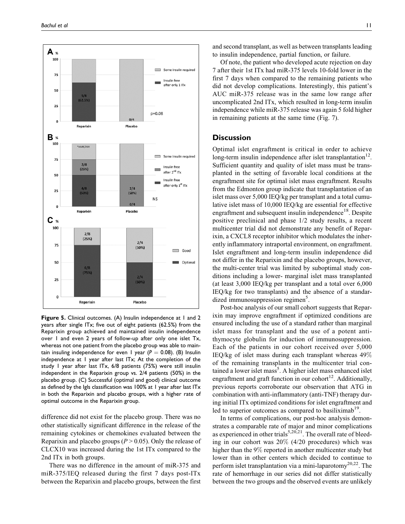

**Figure 5.** Clinical outcomes. (A) Insulin independence at 1 and 2 years after single ITx; five out of eight patients (62.5%) from the Reparixin group achieved and maintained insulin independence over 1 and even 2 years of follow-up after only one islet Tx, whereas not one patient from the placebo group was able to maintain insuling independence for even 1 year ( $P = 0.08$ ). (B) Insulin independence at 1 year after last ITx; At the completion of the study 1 year after last ITx, 6/8 patients (75%) were still insulin independent in the Reparixin group vs. 2/4 patients (50%) in the placebo group. (C) Successful (optimal and good) clinical outcome as defined by the Igls classification was 100% at 1 year after last ITx in both the Reparixin and placebo groups, with a higher rate of optimal outcome in the Reparixin group.

difference did not exist for the placebo group. There was no other statistically significant difference in the release of the remaining cytokines or chemokines evaluated between the Reparixin and placebo groups ( $P > 0.05$ ). Only the release of CLCX10 was increased during the 1st ITx compared to the 2nd ITx in both groups.

There was no difference in the amount of miR-375 and miR-375/IEQ released during the first 7 days post-ITx between the Reparixin and placebo groups, between the first

and second transplant, as well as between transplants leading to insulin independence, partial function, or failure.

Of note, the patient who developed acute rejection on day 7 after their 1st ITx had miR-375 levels 10-fold lower in the first 7 days when compared to the remaining patients who did not develop complications. Interestingly, this patient's AUC miR-375 release was in the same low range after uncomplicated 2nd ITx, which resulted in long-term insulin independence while miR-375 release was again 5 fold higher in remaining patients at the same time (Fig. 7).

### **Discussion**

Optimal islet engraftment is critical in order to achieve long-term insulin independence after islet transplantation<sup>12</sup>. Sufficient quantity and quality of islet mass must be transplanted in the setting of favorable local conditions at the engraftment site for optimal islet mass engraftment. Results from the Edmonton group indicate that transplantation of an islet mass over 5,000 IEQ/kg per transplant and a total cumulative islet mass of 10,000 IEQ/kg are essential for effective engraftment and subsequent insulin independence<sup>18</sup>. Despite positive preclinical and phase 1/2 study results, a recent multicenter trial did not demonstrate any benefit of Reparixin, a CXCL8 receptor inhibitor which modulates the inherently inflammatory intraportal environment, on engraftment. Islet engraftment and long-term insulin independence did not differ in the Reparixin and the placebo groups, however, the multi-center trial was limited by suboptimal study conditions including a lower- marginal islet mass transplanted (at least 3,000 IEQ/kg per transplant and a total over 6,000 IEQ/kg for two transplants) and the absence of a standardized immunosuppression regimen<sup>5</sup>.

Post-hoc analysis of our small cohort suggests that Reparixin may improve engraftment if optimized conditions are ensured including the use of a standard rather than marginal islet mass for transplant and the use of a potent antithymocyte globulin for induction of immunosuppression. Each of the patients in our cohort received over 5,000 IEQ/kg of islet mass during each transplant whereas 49% of the remaining transplants in the multicenter trial contained a lower islet mass<sup>5</sup>. A higher islet mass enhanced islet engraftment and graft function in our cohort<sup>12</sup>. Additionally, previous reports corroborate our observation that ATG in combination with anti-inflammatory (anti-TNF) therapy during initial ITx optimized conditions for islet engraftment and led to superior outcomes as compared to basiliximab<sup>19</sup>.

In terms of complications, our post-hoc analysis demonstrates a comparable rate of major and minor complications as experienced in other trials<sup>5,20,21</sup>. The overall rate of bleeding in our cohort was 20% (4/20 procedures) which was higher than the 9% reported in another multicenter study but lower than in other centers which decided to continue to perform islet transplantation via a mini-laparotomy<sup>20,22</sup>. The rate of hemorrhage in our series did not differ statistically between the two groups and the observed events are unlikely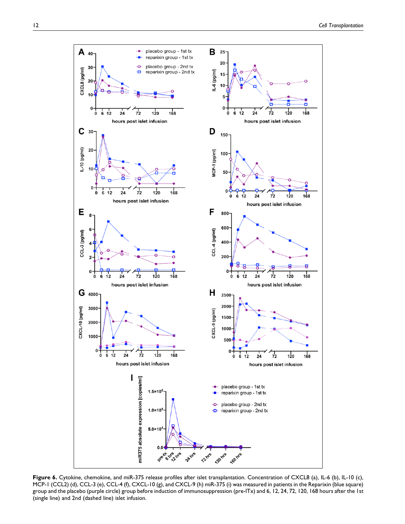

**Figure 6.** Cytokine, chemokine, and miR-375 release profiles after islet transplantation. Concentration of CXCL8 (a), IL-6 (b), IL-10 (c), MCP-1 (CCL2) (d), CCL-3 (e), CCL-4 (f), CXCL-10 (g), and CXCL-9 (h) miR-375 (i) was measured in patients in the Reparixin (blue square) group and the placebo (purple circle) group before induction of immunosuppression (pre-ITx) and 6, 12, 24, 72, 120, 168 hours after the 1st (single line) and 2nd (dashed line) islet infusion.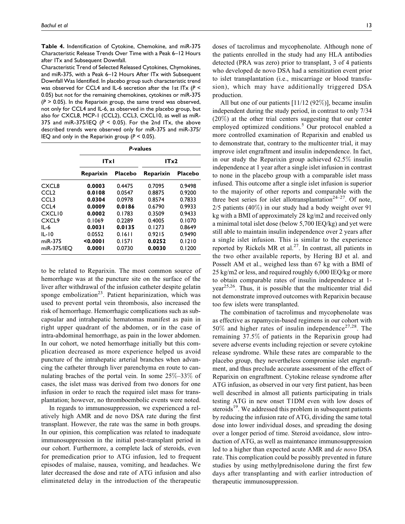**Table 4.** Indentification of Cytokine, Chemokine, and miR-375 Characteristic Release Trends Over Time with a Peak 6–12 Hours after ITx and Subsequent Downfall.

Characteristic Trend of Selected Released Cytokines, Chymokines, and miR-375, with a Peak 6–12 Hours After ITx with Subsequent Downfall Was Identified. In placebo group such characteristic trend was observed for CCL4 and IL-6 secretion after the 1st ITx (*P* < 0.05) but not for the remaining chemokines, cytokines or miR-375 (*P* > 0.05). In the Reparixin group, the same trend was observed, not only for CCL4 and IL-6, as observed in the placebo group, but also for CXCL8, MCP-1 (CCL2), CCL3, CXCL10, as well as miR-375 and miR-375/IEQ ( $P < 0.05$ ). For the 2nd ITx, the above described trends were observed only for miR-375 and miR-375/ IEQ and only in the Reparixin group (*P* < 0.05).

|                    |           |                | <b>P-values</b> |                |
|--------------------|-----------|----------------|-----------------|----------------|
|                    | ITxI      |                | ITx2            |                |
|                    | Reparixin | <b>Placebo</b> | Reparixin       | <b>Placebo</b> |
| CXCL8              | 0.0003    | 0.4475         | 0.7095          | 0.9498         |
| CCL <sub>2</sub>   | 0.0108    | 0.0547         | 0.8875          | 0.9200         |
| CCL <sub>3</sub>   | 0.0304    | 0.0978         | 0.8574          | 0.7833         |
| CCL <sub>4</sub>   | 0.0009    | 0.0186         | 0.6790          | 0.9933         |
| CXCL <sub>10</sub> | 0.0002    | 0.1783         | 0.3509          | 0.9433         |
| CXCL9              | 0.1069    | 0.2289         | 0.4005          | 0.1070         |
| $IL - 6$           | 0.0031    | 0.0135         | 0.1273          | 0.8649         |
| $IL-IO$            | 0.0552    | 0.1611         | 0.9215          | 0.9490         |
| miR-375            | < 0.0001  | 0.1571         | 0.0252          | 0.1210         |
| miR-375/IEO        | 0.0001    | 0.0730         | 0.0030          | 0.1200         |

to be related to Reparixin. The most common source of hemorrhage was at the puncture site on the surface of the liver after withdrawal of the infusion catheter despite gelatin sponge embolization<sup>23</sup>. Patient heparinization, which was used to prevent portal vein thrombosis, also increased the risk of hemorrhage. Hemorrhagic complications such as subcapsular and intrahepatic hematomas manifest as pain in right upper quadrant of the abdomen, or in the case of intra-abdominal hemorrhage, as pain in the lower abdomen. In our cohort, we noted hemorrhage initially but this complication decreased as more experience helped us avoid puncture of the intrahepatic arterial branches when advancing the catheter through liver parenchyma en route to cannulating braches of the portal vein. In some 25%–33% of cases, the islet mass was derived from two donors for one infusion in order to reach the required islet mass for transplantation; however, no thromboembolic events were noted.

In regards to immunosuppression, we experienced a relatively high AMR and de novo DSA rate during the first transplant. However, the rate was the same in both groups. In our opinion, this complication was related to inadequate immunosuppression in the initial post-transplant period in our cohort. Furthermore, a complete lack of steroids, even for premedication prior to ATG infusion, led to frequent episodes of malaise, nausea, vomiting, and headaches. We later decreased the dose and rate of ATG infusion and also eliminateted delay in the introduction of the therapeutic

doses of tacrolimus and mycophenolate. Although none of the patients enrolled in the study had any HLA antibodies detected (PRA was zero) prior to transplant, 3 of 4 patients who developed de novo DSA had a sensitization event prior to islet transplantation (i.e., miscarriage or blood transfusion), which may have additionally triggered DSA production.

All but one of our patients [11/12 (92%)], became insulin independent during the study period, in contrast to only 7/34 (20%) at the other trial centers suggesting that our center employed optimized conditions.<sup>5</sup> Our protocol enabled a more controlled examination of Reparixin and enabled us to demonstrate that, contrary to the multicenter trial, it may improve islet engraftment and insulin independence. In fact, in our study the Reparixin group achieved 62.5% insulin independence at 1 year after a single islet infusion in contrast to none in the placebo group with a comparable islet mass infused. This outcome after a single islet infusion is superior to the majority of other reports and comparable with the three best series for islet allotransplantation<sup>24-27</sup>. Of note, 2/5 patients (40%) in our study had a body weight over 91 kg with a BMI of approximately 28 kg/m2 and received only a minimal total islet dose (below 5,700 IEQ/kg) and yet were still able to maintain insulin independence over 2 years after a single islet infusion. This is similar to the experience reported by Rickels MR et al.<sup>27</sup>. In contrast, all patients in the two other available reports, by Hering BJ et al. and Posselt AM et al., weighed less than 67 kg with a BMI of 25 kg/m2 or less, and required roughly 6,000 IEQ/kg or more to obtain comparable rates of insulin independence at 1 year<sup>25,26</sup>. Thus, it is possible that the multicenter trial did not demonstrate improved outcomes with Reparixin because too few islets were transplanted.

The combination of tacrolimus and mycophenolate was as effective as rapamycin-based regimens in our cohort with 50% and higher rates of insulin independence<sup>27,28</sup>. The remaining 37.5% of patients in the Reparixin group had severe adverse events including rejection or severe cytokine release syndrome. While these rates are comparable to the placebo group, they nevertheless compromise islet engraftment, and thus preclude accurate assessment of the effect of Reparixin on engraftment. Cytokine release syndrome after ATG infusion, as observed in our very first patient, has been well described in almost all patients participating in trials testing ATG in new onset T1DM even with low doses of steroids $19$ . We addressed this problem in subsequent patients by reducing the infusion rate of ATG, dividing the same total dose into lower individual doses, and spreading the dosing over a longer period of time. Steroid avoidance, slow introduction of ATG, as well as maintenance immunosuppression led to a higher than expected acute AMR and de novo DSA rate. This complication could be possibly prevented in future studies by using methylprednisolone during the first few days after transplanting and with earlier introduction of therapeutic immunosuppression.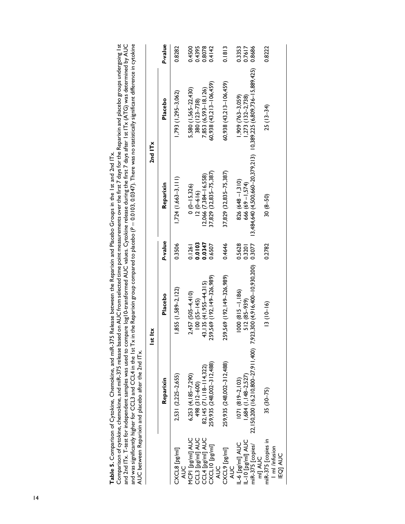| and was significantly higher for CCL3 and CCL4 in the 1st Tx<br>AUC between Reparixin and placebo after the 2nd ITx.<br>CXCL8 [pg/ml] | 2,531 (2,225-2,655)<br>Reparixin | $1,855$ (1,589-2,122)<br>Placebo<br>t ltx<br>$\frac{5}{1}$ | P-value<br>0.3506 | $1,724$ $(1,663-3,111)$<br>Reparixin | $1,793$ $(1,295-3,062)$<br>Placebo<br>2nd ITx | P-value<br>0.8282 |
|---------------------------------------------------------------------------------------------------------------------------------------|----------------------------------|------------------------------------------------------------|-------------------|--------------------------------------|-----------------------------------------------|-------------------|
| <b>AUC</b>                                                                                                                            |                                  |                                                            |                   |                                      |                                               |                   |
| MCPI [pg/ml] AUC                                                                                                                      | $6,253$ $(4,185-7,290)$          | $2,457$ (505-4.410)                                        | 0.1261            | $0(0-15,326)$                        | 5,580 (1,565-22.430)                          | 0.4500            |
| CCL3 [pg/ml] AUC                                                                                                                      | 498 (312-600)                    | $100(55-145)$                                              | 0.0103            | $12(0-616)$                          | 380 (123-738)                                 | 0.4395            |
| CCI 4 נייליים 1M                                                                                                                      | $37145/7118 - 11437$             | $43$ 135 $(41$ 955 $-44$ 315                               | 0 0347            | $1706677384 - 16558$                 | 7 253 (6 593-12 176)                          | 08078             |

|                                      |                                                                      | IST ICX                              |                  |                                  | <b>Znallx</b>                         |                  |
|--------------------------------------|----------------------------------------------------------------------|--------------------------------------|------------------|----------------------------------|---------------------------------------|------------------|
|                                      | Reparixin                                                            | Placebo                              | P-value          | Reparixin                        | Placebo                               | P-value          |
| CXCL8 [pg/ml]<br>JU<br>R             | 2,531 (2,225–2,655)                                                  | $1,855$ (1,589-2, 122)               | 0.3506           | $1,724$ $(1,663-3,111)$          | 1,793 (1,295-3,062)                   | 0.8282           |
| MCPI [pg/ml] AUC                     | $6,253$ $(4,185-7,290)$<br>498 (312-600)                             | $2,457$ (505-4,410)<br>$100(55-145)$ | 0.0103<br>0.1261 | $0(0-15,326)$<br>$12(0-616)$     | 5,580 (1,565-22,430)<br>380 (123-738) | 0.4500<br>0.4395 |
| CCL3 [pg/ml] AUC<br>CCL4 [pg/ml] AUC | $82,145$ (71, 118-114, 322)                                          | 43, 135 (41, 955 44, 315)            | 0.0347           | 12,066 (7,384-16,558)            | 7,853 (6,593 - 18,126)                | 0.8078           |
| CXCLIO [pg/ml]<br>JU<br>R            | 259,935 (248,002-312,488)                                            | 59,569 (192,149-326,989)             | 0.6507           | 37,829 (32,835-75,387)           | 60,938 (43,213-106,459)               | 0.4142           |
| CXCL9 [pg/ml]<br>AUC                 | 259,935 (248,002-312,488)                                            | 59,569 (192,149–326,989)             | 0.4646           | 37,829 (32,835-75,387)           | $60,938$ $(43,213-106,459)$           | 0.1813           |
| IL-6 [pg/ml] AUC                     | $ 07 $ (8 9-2, 103)                                                  | $1000 (815 - 1, 186)$                | 0.5628           | $826(648 - 1,310)$               | $1,909$ $(763 - 3,059)$               | 0.3353           |
| IL-10 [pg/ml] AUC                    | $1,684$ $(1,148-2,527)$                                              | 512 (85-939)                         | 0.3201           | 666 $(69 - 1,574)$               | (,273 (132-2,738)                     | 0.7617           |
| miR-375 [copies/<br>mil AUC          | 22, 150,200 (16,210,800-27,911,400) 7,923,300 (4,916,400-10,930,200) |                                      | 0.3077           | 3,484,640 (4,500,660-20,379,213) | 10,389,225 (6,809,736-15,889,425)     | 0.8686           |
| miR-375 [copies in<br>I ml /infusion | $35(30-75)$                                                          | $13(10-16)$                          | 0.2782           | $30(8-50)$                       | $25(13-34)$                           | 0.8222           |
| <b>IEQJ AUC</b>                      |                                                                      |                                      |                  |                                  |                                       |                  |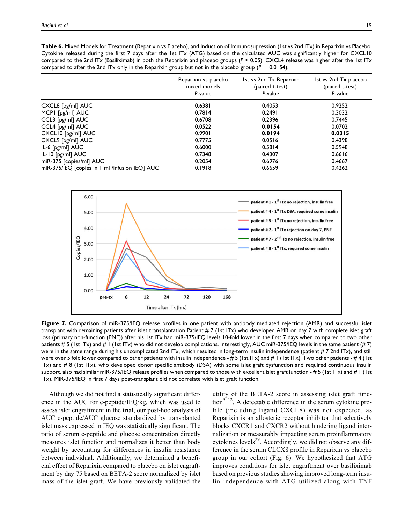**Table 6.** Mixed Models for Treatment (Reparixin vs Placebo), and Induction of Immunosupression (1st vs 2nd ITx) in Reparixin vs Placebo. Cytokine released during the first 7 days after the 1st ITx (ATG) based on the calculated AUC was significantly higher for CXCL10 compared to the 2nd ITx (Basiliximab) in both the Reparixin and placebo groups (*P* < 0.05). CXCL4 release was higher after the 1st ITx compared to after the 2nd ITx only in the Reparixin group but not in the placebo group ( $P = 0.0154$ ).

|                                                | Reparixin vs placebo<br>mixed models<br>P-value | 1st vs 2nd Tx Reparixin<br>(paired t-test)<br>P-value | 1st vs 2nd Tx placebo<br>(paired t-test)<br>P-value |
|------------------------------------------------|-------------------------------------------------|-------------------------------------------------------|-----------------------------------------------------|
| $CXCL8$ [ $pg/ml$ $AUC$                        | 0.6381                                          | 0.4053                                                | 0.9252                                              |
| MCPI [pg/ml] AUC                               | 0.7814                                          | 0.2491                                                | 0.3032                                              |
| CCL3 [pg/ml] AUC                               | 0.6708                                          | 0.2396                                                | 0.7445                                              |
| CCL4 [pg/ml] AUC                               | 0.0522                                          | 0.0154                                                | 0.0702                                              |
| CXCLI0 [pg/ml] AUC                             | 0.9901                                          | 0.0194                                                | 0.0315                                              |
| CXCL9 [pg/ml] AUC                              | 0.7775                                          | 0.0516                                                | 0.4398                                              |
| $IL-6$ [ $pg/ml$ ] $AUC$                       | 0.6000                                          | 0.5814                                                | 0.5948                                              |
| $IL-I0$ $[pg/ml]$ $AUC$                        | 0.7348                                          | 0.4307                                                | 0.6616                                              |
| miR-375 [copies/ml] AUC                        | 0.2054                                          | 0.6976                                                | 0.4667                                              |
| miR-375/IEQ [copies in 1 ml /infusion IEQ] AUC | 0.1918                                          | 0.6659                                                | 0.4262                                              |



**Figure 7.** Comparison of miR-375/IEQ release profiles in one patient with antibody mediated rejection (AMR) and successful islet transplant with remaining patients after islet transplantation Patient # 7 (1st ITx) who developed AMR on day 7 with complete islet graft loss (primary non-function (PNF)) after his 1st ITx had miR-375/IEQ levels 10-fold lower in the first 7 days when compared to two other patients # 5 (1st ITx) and # 1 (1st ITx) who did not develop complications. Interestingly, AUC miR-375/IEQ levels in the same patient (# 7) were in the same range during his uncomplicated 2nd ITx, which resulted in long-term insulin independence (patient # 7 2nd ITx), and still were over 5 fold lower compared to other patients with insulin independence - # 5 (1st ITx) and # 1 (1st ITx). Two other patients - # 4 (1st ITx) and # 8 (1st ITx), who developed donor specific antibody (DSA) with some islet graft dysfunction and required continuous insulin support, also had similar miR-375/IEQ release profiles when compared to those with excellent islet graft function - # 5 (1st ITx) and # 1 (1st ITx). MiR-375/IEQ in first 7 days post-transplant did not correlate with islet graft function.

Although we did not find a statistically significant difference in the AUC for c-peptide/IEQ/kg, which was used to assess islet engraftment in the trial, our post-hoc analysis of AUC c-peptide/AUC glucose standardized by transplanted islet mass expressed in IEQ was statistically significant. The ratio of serum c-peptide and glucose concentration directly measures islet function and normalizes it better than body weight by accounting for differences in insulin resistance between individual. Additionally, we determined a beneficial effect of Reparixin compared to placebo on islet engraftment by day 75 based on BETA-2 score normalized by islet mass of the islet graft. We have previously validated the

utility of the BETA-2 score in assessing islet graft func- $\text{tion}^{9-12}$ . A detectable difference in the serum cytokine profile (including ligand CXCL8) was not expected, as Reparixin is an allosteric receptor inhibitor that selectively blocks CXCR1 and CXCR2 without hindering ligand internalization or measurably impacting serum proinflammatory cytokines levels<sup>29</sup>. Accordingly, we did not observe any difference in the serum CLCX8 profile in Reparixin vs placebo group in our cohort (Fig. 6). We hypothesized that ATG improves conditions for islet engraftment over basiliximab based on previous studies showing improved long-term insulin independence with ATG utilized along with TNF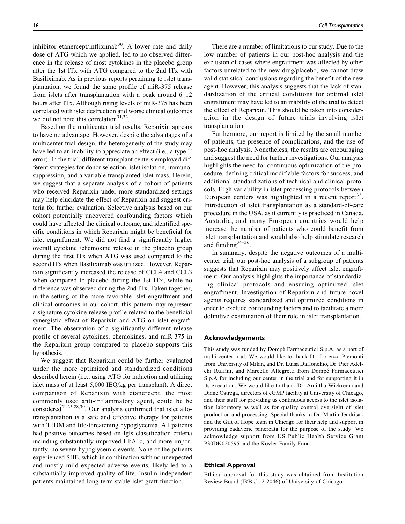inhibitor etanercept/infliximab<sup>30</sup>. A lower rate and daily dose of ATG which we applied, led to no observed difference in the release of most cytokines in the placebo group after the 1st ITx with ATG compared to the 2nd ITx with Basiliximab. As in previous reports pertaining to islet transplantation, we found the same profile of miR-375 release from islets after transplantation with a peak around 6–12 hours after ITx. Although rising levels of miR-375 has been correlated with islet destruction and worse clinical outcomes we did not note this correlation<sup>31,32</sup>.

Based on the multicenter trial results, Reparixin appears to have no advantage. However, despite the advantages of a multicenter trial design, the heterogeneity of the study may have led to an inability to appreciate an effect (i.e., a type II error). In the trial, different transplant centers employed different strategies for donor selection, islet isolation, immunosuppression, and a variable transplanted islet mass. Herein, we suggest that a separate analysis of a cohort of patients who received Reparixin under more standardized settings may help elucidate the effect of Reparixin and suggest criteria for further evaluation. Selective analysis based on our cohort potentially uncovered confounding factors which could have affected the clinical outcome, and identified specific conditions in which Reparixin might be beneficial for islet engraftment. We did not find a significantly higher overall cytokine /chemokine release in the placebo group during the first ITx when ATG was used compared to the second ITx when Basiliximab was utilized. However, Reparixin significantly increased the release of CCL4 and CCL3 when compared to placebo during the 1st ITx, while no difference was observed during the 2nd ITx. Taken together, in the setting of the more favorable islet engraftment and clinical outcomes in our cohort, this pattern may represent a signature cytokine release profile related to the beneficial synergistic effect of Reparixin and ATG on islet engraftment. The observation of a significantly different release profile of several cytokines, chemokines, and miR-375 in the Reparixin group compared to placebo supports this hypothesis.

We suggest that Reparixin could be further evaluated under the more optimized and standardized conditions described herein (i.e., using ATG for induction and utilizing islet mass of at least 5,000 IEQ/kg per transplant). A direct comparison of Reparixin with etanercept, the most commonly used anti-inflammatory agent, could be be considered<sup>21,25,28,30</sup>. Our analysis confirmed that islet allotransplantation is a safe and effective therapy for patients with T1DM and life-threatening hypoglycemia. All patients had positive outcomes based on Igls classification criteria including substantially improved HbA1c, and more importantly, no severe hypoglycemic events. None of the patients experienced SHE, which in combination with no unexpected and mostly mild expected adverse events, likely led to a substantially improved quality of life. Insulin independent patients maintained long-term stable islet graft function.

There are a number of limitations to our study. Due to the low number of patients in our post-hoc analysis and the exclusion of cases where engraftment was affected by other factors unrelated to the new drug/placebo, we cannot draw valid statistical conclusions regarding the benefit of the new agent. However, this analysis suggests that the lack of standardization of the critical conditions for optimal islet engraftment may have led to an inability of the trial to detect the effect of Reparixin. This should be taken into consideration in the design of future trials involving islet transplantation.

Furthermore, our report is limited by the small number of patients, the presence of complications, and the use of post-hoc analysis. Nonetheless, the results are encouraging and suggest the need for further investigations. Our analysis highlights the need for continuous optimization of the procedure, defining critical modifiable factors for success, and additional standardizations of technical and clinical protocols. High variability in islet processing protocols between European centers was highlighted in a recent report<sup>33</sup>. Introduction of islet transplantation as a standard-of-care procedure in the USA, as it currently is practiced in Canada, Australia, and many European countries would help increase the number of patients who could benefit from islet transplantation and would also help stimulate research and funding  $34-36$ .

In summary, despite the negative outcomes of a multicenter trial, our post-hoc analysis of a subgroup of patients suggests that Reparixin may positively affect islet engraftment. Our analysis highlights the importance of standardizing clinical protocols and ensuring optimized islet engraftment. Investigation of Reparixin and future novel agents requires standardized and optimized conditions in order to exclude confounding factors and to facilitate a more definitive examination of their role in islet transplantation.

#### **Acknowledgements**

This study was funded by Dompé Farmaceutici S.p.A. as a part of multi-center trial. We would like to thank Dr. Lorenzo Piemonti from University of Milan, and Dr. Luisa Daffonchio, Dr. Pier Adelchi Ruffini, and Marcello Allegretti from Dompé Farmaceutici S.p.A for including our center in the trial and for supporting it in its execution. We would like to thank Dr. Amittha Wickrema and Diane Ostrega, directors of cGMP facility at University of Chicago, and their staff for providing us continuous access to the islet isolation laboratory as well as for quality control oversight of islet production and processing. Special thanks to Dr. Martin Jendrisak and the Gift of Hope team in Chicago for their help and support in providing cadaveric pancreata for the purpose of the study. We acknowledge support from US Public Health Service Grant P30DK020595 and the Kovler Family Fund.

#### **Ethical Approval**

Ethical approval for this study was obtained from Institution Review Board (IRB # 12-2046) of University of Chicago.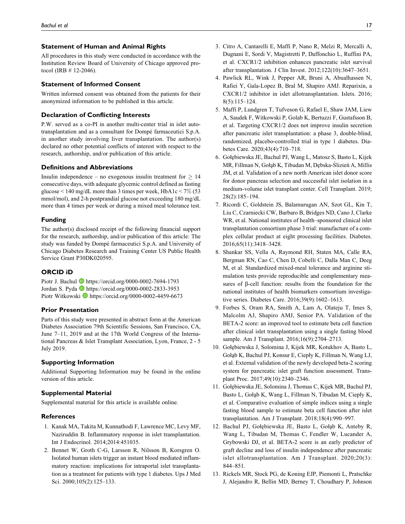#### **Statement of Human and Animal Rights**

All procedures in this study were conducted in accordance with the Institution Review Board of University of Chicago approved protocol (IRB # 12-2046).

#### **Statement of Informed Consent**

Written informed consent was obtained from the patients for their anonymized information to be published in this article.

#### **Declaration of Conflicting Interests**

P.W. served as a co-PI in another multi-center trial in islet autotransplantation and as a consultant for Dompé farmaceutici S.p.A. in another study involving liver transplantation. The author(s) declared no other potential conflicts of interest with respect to the research, authorship, and/or publication of this article.

### **Definitions and Abbreviations**

Insulin independence – no exogenous insulin treatment for  $\geq 14$ consecutive days, with adequate glycemic control defined as fasting glucose  $\leq 140$  mg/dL more than 3 times per week, HbA1c  $\leq 7\%$  (53 mmol/mol), and 2-h postprandial glucose not exceeding 180 mg/dL more than 4 times per week or during a mixed meal tolerance test.

#### **Funding**

The author(s) disclosed receipt of the following financial support for the research, authorship, and/or publication of this article: The study was funded by Dompé farmaceutici S.p.A. and University of Chicago Diabetes Research and Training Center US Public Health Service Grant P30DK020595.

### **ORCID iD**

Piotr J. Bachul **b** <https://orcid.org/0000-0002-7694-1793> Jordan S. Pyda <br/> <br/> <https://orcid.org/0000-0002-2833-3953> Piotr Witkowski D<https://orcid.org/0000-0002-4459-6673>

#### **Prior Presentation**

Parts of this study were presented in abstract form at the American Diabetes Association 79th Scientific Sessions, San Francisco, CA, June 7–11, 2019 and at the 17th World Congress of the International Pancreas & Islet Transplant Association, Lyon, France, 2 - 5 July 2019.

#### **Supporting Information**

Additional Supporting Information may be found in the online version of this article.

#### **Supplemental Material**

Supplemental material for this article is available online.

#### **References**

- 1. Kanak MA, Takita M, Kunnathodi F, Lawrence MC, Levy MF, Naziruddin B. Inflammatory response in islet transplantation. Int J Endocrinol. 2014;2014:451035.
- 2. Bennet W, Groth C-G, Larsson R, Nilsson B, Korsgren O. Isolated human islets trigger an instant blood mediated inflammatory reaction: implications for intraportal islet transplantation as a treatment for patients with type 1 diabetes. Ups J Med Sci. 2000;105(2):125-133.
- 3. Citro A, Cantarelli E, Maffi P, Nano R, Melzi R, Mercalli A, Dugnani E, Sordi V, Magistretti P, Daffonchio L, Ruffini PA, et al. CXCR1/2 inhibition enhances pancreatic islet survival after transplantation. J Clin Invest. 2012;122(10):3647–3651.
- 4. Pawlick RL, Wink J, Pepper AR, Bruni A, Abualhassen N, Rafiei Y, Gala-Lopez B, Bral M, Shapiro AMJ. Reparixin, a CXCR1/2 inhibitor in islet allotransplantation. Islets. 2016; 8(5):115–124.
- 5. Maffi P, Lundgren T, Tufveson G, Rafael E, Shaw JAM, Liew A, Saudek F, Witkowski P, Golab K, Bertuzzi F, Gustafsson B, et al. Targeting CXCR1/2 does not improve insulin secretion after pancreatic islet transplantation: a phase 3, double-blind, randomized, placebo-controlled trial in type 1 diabetes. Diabetes Care. 2020;43(4):710–718.
- 6. Goł˛ebiewska JE, Bachul PJ, Wang L, Matosz S, Basto L, Kijek MR, Fillman N, Gołąb K, Tibudan M, Dębska-Slizien´ A, Millis JM, et al. Validation of a new north American islet donor score for donor pancreas selection and successful islet isolation in a medium-volume islet transplant center. Cell Transplant. 2019; 28(2):185–194.
- 7. Ricordi C, Goldstein JS, Balamurugan AN, Szot GL, Kin T, Liu C, Czarniecki CW, Barbaro B, Bridges ND, Cano J, Clarke WR, et al. National institutes of health–sponsored clinical islet transplantation consortium phase 3 trial: manufacture of a complex cellular product at eight processing facilities. Diabetes. 2016;65(11):3418–3428.
- 8. Shankar SS, Vella A, Raymond RH, Staten MA, Calle RA, Bergman RN, Cao C, Chen D, Cobelli C, Dalla Man C, Deeg M, et al. Standardized mixed-meal tolerance and arginine stimulation tests provide reproducible and complementary measures of  $\beta$ -cell function: results from the foundation for the national institutes of health biomarkers consortium investigative series. Diabetes Care. 2016;39(9):1602–1613.
- 9. Forbes S, Oram RA, Smith A, Lam A, Olateju T, Imes S, Malcolm AJ, Shapiro AMJ, Senior PA. Validation of the BETA-2 score: an improved tool to estimate beta cell function after clinical islet transplantation using a single fasting blood sample. Am J Transplant. 2016;16(9):2704–2713.
- 10. Gołębiewska J, Solomina J, Kijek MR, Kotukhov A, Basto L, Gołąb K, Bachul PJ, Konsur E, Ciepły K, Fillman N, Wang LJ, et al. External validation of the newly developed beta-2 scoring system for pancreatic islet graft function assessment. Transplant Proc. 2017;49(10):2340–2346.
- 11. Gołębiewska JE, Solomina J, Thomas C, Kijek MR, Bachul PJ, Basto L, Gołab K, Wang L, Fillman N, Tibudan M, Ciepły K, et al. Comparative evaluation of simple indices using a single fasting blood sample to estimate beta cell function after islet transplantation. Am J Transplant. 2018;18(4):990–997.
- 12. Bachul PJ, Gołębiewska JE, Basto L, Gołąb K, Anteby R, Wang L, Tibudan M, Thomas C, Fendler W, Lucander A, Grybowski DJ, et al. BETA-2 score is an early predictor of graft decline and loss of insulin independence after pancreatic islet allotransplantation. Am J Transplant. 2020;20(3): 844–851.
- 13. Rickels MR, Stock PG, de Koning EJP, Piemonti L, Pratschke J, Alejandro R, Bellin MD, Berney T, Choudhary P, Johnson